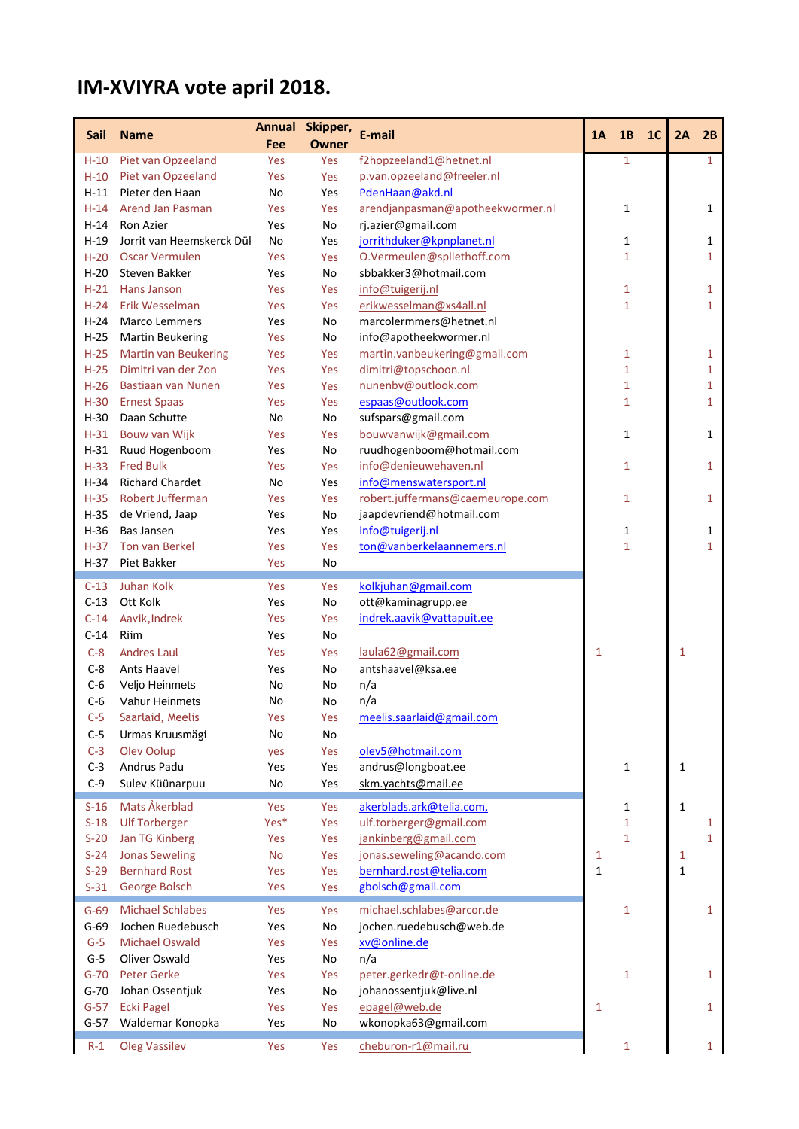## **IM-XVIYRA vote april 2018.**

| <b>Sail</b> | <b>Name</b>                 |            | Annual Skipper,     | E-mail                           | 1A           | 1B           | 1 <sub>C</sub> | 2A           | 2B           |
|-------------|-----------------------------|------------|---------------------|----------------------------------|--------------|--------------|----------------|--------------|--------------|
| $H-10$      | Piet van Opzeeland          | Fee<br>Yes | <b>Owner</b><br>Yes | f2hopzeeland1@hetnet.nl          |              | $\mathbf{1}$ |                |              | $\mathbf{1}$ |
| $H-10$      | Piet van Opzeeland          | Yes        | Yes                 | p.van.opzeeland@freeler.nl       |              |              |                |              |              |
| $H-11$      | Pieter den Haan             | No         | Yes                 | PdenHaan@akd.nl                  |              |              |                |              |              |
| $H-14$      | Arend Jan Pasman            | Yes        | Yes                 | arendjanpasman@apotheekwormer.nl |              | $\mathbf{1}$ |                |              | 1            |
| $H-14$      | Ron Azier                   | Yes        | No                  | rj.azier@gmail.com               |              |              |                |              |              |
| $H-19$      | Jorrit van Heemskerck Dül   | No         | Yes                 | jorrithduker@kpnplanet.nl        |              | 1            |                |              | 1            |
| $H-20$      | <b>Oscar Vermulen</b>       | Yes        | Yes                 | O.Vermeulen@spliethoff.com       |              | $\mathbf{1}$ |                |              | 1            |
| $H-20$      | Steven Bakker               | Yes        | No                  | sbbakker3@hotmail.com            |              |              |                |              |              |
| $H-21$      | Hans Janson                 | Yes        | Yes                 | info@tuigerij.nl                 |              | 1            |                |              | 1            |
| $H-24$      | Erik Wesselman              | Yes        | Yes                 | erikwesselman@xs4all.nl          |              | $\mathbf{1}$ |                |              | 1            |
| $H-24$      | Marco Lemmers               | Yes        | No                  | marcolermmers@hetnet.nl          |              |              |                |              |              |
| $H-25$      | <b>Martin Beukering</b>     | Yes        | No                  | info@apotheekwormer.nl           |              |              |                |              |              |
| $H-25$      | <b>Martin van Beukering</b> | Yes        | Yes                 | martin.vanbeukering@gmail.com    |              | 1            |                |              | 1            |
| $H-25$      | Dimitri van der Zon         | Yes        | Yes                 | dimitri@topschoon.nl             |              | $\mathbf{1}$ |                |              | 1            |
| $H-26$      | <b>Bastiaan van Nunen</b>   | Yes        | Yes                 | nunenbv@outlook.com              |              | $\mathbf{1}$ |                |              | 1            |
| $H-30$      | <b>Ernest Spaas</b>         | Yes        | Yes                 | espaas@outlook.com               |              | $\mathbf{1}$ |                |              | 1            |
| $H-30$      | Daan Schutte                | No         | No                  | sufspars@gmail.com               |              |              |                |              |              |
| $H-31$      | Bouw van Wijk               | Yes        | Yes                 | bouwvanwijk@gmail.com            |              | $\mathbf{1}$ |                |              | 1            |
| $H-31$      | Ruud Hogenboom              | Yes        | No                  | ruudhogenboom@hotmail.com        |              |              |                |              |              |
| $H-33$      | <b>Fred Bulk</b>            | Yes        | Yes                 | info@denieuwehaven.nl            |              | $\mathbf{1}$ |                |              | 1            |
| $H-34$      | <b>Richard Chardet</b>      | No         | Yes                 | info@menswatersport.nl           |              |              |                |              |              |
| $H-35$      | Robert Jufferman            | Yes        | Yes                 | robert.juffermans@caemeurope.com |              | $\mathbf{1}$ |                |              | 1            |
| $H-35$      | de Vriend, Jaap             | Yes        | No                  | jaapdevriend@hotmail.com         |              |              |                |              |              |
| $H-36$      | <b>Bas Jansen</b>           | Yes        | Yes                 | info@tuigerij.nl                 |              | 1            |                |              | 1            |
| $H-37$      | Ton van Berkel              | Yes        | Yes                 | ton@vanberkelaannemers.nl        |              | $\mathbf{1}$ |                |              | 1            |
| $H-37$      | Piet Bakker                 | Yes        | No                  |                                  |              |              |                |              |              |
|             |                             |            |                     |                                  |              |              |                |              |              |
| $C-13$      | Juhan Kolk                  | Yes        | Yes                 | kolkjuhan@gmail.com              |              |              |                |              |              |
| $C-13$      | Ott Kolk                    | Yes        | No                  | ott@kaminagrupp.ee               |              |              |                |              |              |
| $C-14$      | Aavik, Indrek               | Yes        | Yes                 | indrek.aavik@vattapuit.ee        |              |              |                |              |              |
| $C-14$      | Riim                        | Yes        | No                  |                                  |              |              |                |              |              |
| $C-8$       | <b>Andres Laul</b>          | Yes        | Yes                 | laula62@gmail.com                | 1            |              |                | 1            |              |
| $C-8$       | Ants Haavel                 | Yes        | No                  | antshaavel@ksa.ee                |              |              |                |              |              |
| $C-6$       | Veljo Heinmets              | No         | No                  | n/a                              |              |              |                |              |              |
| $C-6$       | Vahur Heinmets              | No         | No                  | n/a                              |              |              |                |              |              |
| $C-5$       | Saarlaid, Meelis            | Yes        | Yes                 | meelis.saarlaid@gmail.com        |              |              |                |              |              |
| $C-5$       | Urmas Kruusmägi             | No         | No                  |                                  |              |              |                |              |              |
| $C-3$       | Olev Oolup                  | yes        | Yes                 | olev5@hotmail.com                |              |              |                |              |              |
| $C-3$       | Andrus Padu                 | Yes        | Yes                 | andrus@longboat.ee               |              | $\mathbf 1$  |                | $\mathbf{1}$ |              |
| $C-9$       | Sulev Küünarpuu             | No         | Yes                 | skm.yachts@mail.ee               |              |              |                |              |              |
| $S-16$      | Mats Åkerblad               | Yes        | Yes                 | akerblads.ark@telia.com,         |              | $\mathbf{1}$ |                | $\mathbf{1}$ |              |
| $S-18$      | <b>Ulf Torberger</b>        | Yes*       | Yes                 | ulf.torberger@gmail.com          |              | $\mathbf{1}$ |                |              | 1            |
| $S-20$      | Jan TG Kinberg              | Yes        | Yes                 | jankinberg@gmail.com             |              | $\mathbf{1}$ |                |              | $\mathbf{1}$ |
| $S-24$      | <b>Jonas Seweling</b>       | <b>No</b>  | Yes                 | jonas.seweling@acando.com        | $\mathbf{1}$ |              |                | 1            |              |
| $S-29$      | <b>Bernhard Rost</b>        | Yes        | Yes                 | bernhard.rost@telia.com          | $\mathbf{1}$ |              |                | $\mathbf{1}$ |              |
| $S-31$      | George Bolsch               | Yes        | Yes                 | gbolsch@gmail.com                |              |              |                |              |              |
| $G-69$      | <b>Michael Schlabes</b>     | Yes        | Yes                 | michael.schlabes@arcor.de        |              | $\mathbf{1}$ |                |              | $\mathbf{1}$ |
| $G-69$      | Jochen Ruedebusch           | Yes        | No                  | jochen.ruedebusch@web.de         |              |              |                |              |              |
| $G-5$       | <b>Michael Oswald</b>       | Yes        | Yes                 | xv@online.de                     |              |              |                |              |              |
| $G-5$       | Oliver Oswald               | Yes        | No                  | n/a                              |              |              |                |              |              |
| $G-70$      | Peter Gerke                 | Yes        | Yes                 | peter.gerkedr@t-online.de        |              | $\mathbf{1}$ |                |              | $\mathbf{1}$ |
| $G-70$      | Johan Ossentjuk             | Yes        | No                  | johanossentjuk@live.nl           |              |              |                |              |              |
| $G-57$      | <b>Ecki Pagel</b>           | Yes        | Yes                 | epagel@web.de                    | $\mathbf{1}$ |              |                |              | $\mathbf{1}$ |
| $G-57$      | Waldemar Konopka            | Yes        | No                  | wkonopka63@gmail.com             |              |              |                |              |              |
|             |                             |            |                     |                                  |              |              |                |              |              |
| $R-1$       | <b>Oleg Vassilev</b>        | Yes        | Yes                 | cheburon-r1@mail.ru              |              | $\mathbf{1}$ |                |              | $\mathbf{1}$ |